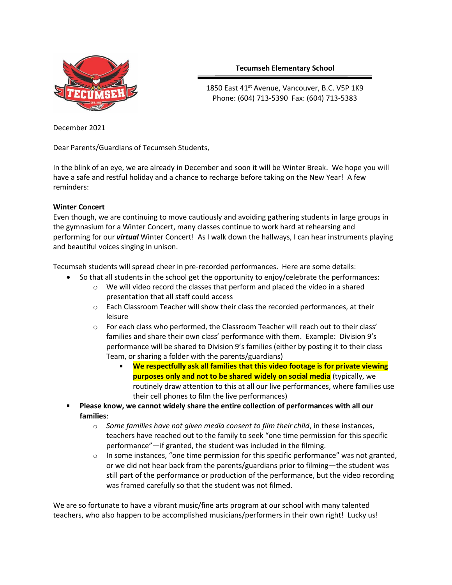

# **Tecumseh Elementary School**

1850 East 41<sup>st</sup> Avenue, Vancouver, B.C. V5P 1K9 Phone: (604) 713-5390 Fax: (604) 713-5383

December 2021

Dear Parents/Guardians of Tecumseh Students,

In the blink of an eye, we are already in December and soon it will be Winter Break. We hope you will have a safe and restful holiday and a chance to recharge before taking on the New Year! A few reminders:

## **Winter Concert**

Even though, we are continuing to move cautiously and avoiding gathering students in large groups in the gymnasium for a Winter Concert, many classes continue to work hard at rehearsing and performing for our *virtual* Winter Concert! As I walk down the hallways, I can hear instruments playing and beautiful voices singing in unison.

Tecumseh students will spread cheer in pre-recorded performances. Here are some details:

- So that all students in the school get the opportunity to enjoy/celebrate the performances:
	- $\circ$  We will video record the classes that perform and placed the video in a shared presentation that all staff could access
	- $\circ$  Each Classroom Teacher will show their class the recorded performances, at their leisure
	- $\circ$  For each class who performed, the Classroom Teacher will reach out to their class' families and share their own class' performance with them. Example: Division 9's performance will be shared to Division 9's families (either by posting it to their class Team, or sharing a folder with the parents/guardians)
		- **We respectfully ask all families that this video footage is for private viewing purposes only and not to be shared widely on social media** (typically, we routinely draw attention to this at all our live performances, where families use their cell phones to film the live performances)
- **Please know, we cannot widely share the entire collection of performances with all our families**:
	- o *Some families have not given media consent to film their child*, in these instances, teachers have reached out to the family to seek "one time permission for this specific performance"—if granted, the student was included in the filming.
	- $\circ$  In some instances, "one time permission for this specific performance" was not granted, or we did not hear back from the parents/guardians prior to filming—the student was still part of the performance or production of the performance, but the video recording was framed carefully so that the student was not filmed.

We are so fortunate to have a vibrant music/fine arts program at our school with many talented teachers, who also happen to be accomplished musicians/performers in their own right! Lucky us!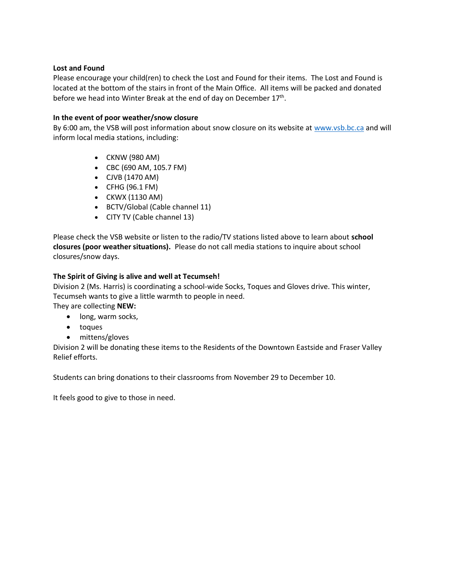#### **Lost and Found**

Please encourage your child(ren) to check the Lost and Found for their items. The Lost and Found is located at the bottom of the stairs in front of the Main Office. All items will be packed and donated before we head into Winter Break at the end of day on December 17<sup>th</sup>.

### **In the event of poor weather/snow closure**

By 6:00 am, the VSB will post information about snow closure on its website at [www.vsb.bc.ca](http://www.vsb.bc.ca/) and will inform local media stations, including:

- CKNW (980 AM)
- CBC (690 AM, 105.7 FM)
- CJVB (1470 AM)
- CFHG (96.1 FM)
- CKWX (1130 AM)
- BCTV/Global (Cable channel 11)
- CITY TV (Cable channel 13)

Please check the VSB website or listen to the radio/TV stations listed above to learn about **school closures (poor weather situations).** Please do not call media stations to inquire about school closures/snow days.

#### **The Spirit of Giving is alive and well at Tecumseh!**

Division 2 (Ms. Harris) is coordinating a school-wide Socks, Toques and Gloves drive. This winter, Tecumseh wants to give a little warmth to people in need. They are collecting **NEW:**

- long, warm socks,
- toques
- mittens/gloves

Division 2 will be donating these items to the Residents of the Downtown Eastside and Fraser Valley Relief efforts.

Students can bring donations to their classrooms from November 29 to December 10.

It feels good to give to those in need.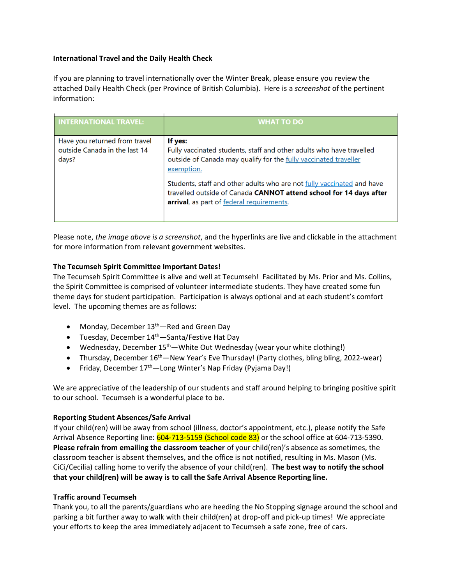### **International Travel and the Daily Health Check**

If you are planning to travel internationally over the Winter Break, please ensure you review the attached Daily Health Check (per Province of British Columbia). Here is a *screenshot* of the pertinent information:

| <b>INTERNATIONAL TRAVEL:</b>                                            | <b>WHAT TO DO</b>                                                                                                                                                                         |
|-------------------------------------------------------------------------|-------------------------------------------------------------------------------------------------------------------------------------------------------------------------------------------|
| Have you returned from travel<br>outside Canada in the last 14<br>days? | If yes:<br>Fully vaccinated students, staff and other adults who have travelled<br>outside of Canada may qualify for the fully vaccinated traveller<br>exemption.                         |
|                                                                         | Students, staff and other adults who are not fully vaccinated and have<br>travelled outside of Canada CANNOT attend school for 14 days after<br>arrival, as part of federal requirements. |

Please note, *the image above is a screenshot*, and the hyperlinks are live and clickable in the attachment for more information from relevant government websites.

## **The Tecumseh Spirit Committee Important Dates!**

The Tecumseh Spirit Committee is alive and well at Tecumseh! Facilitated by Ms. Prior and Ms. Collins, the Spirit Committee is comprised of volunteer intermediate students. They have created some fun theme days for student participation. Participation is always optional and at each student's comfort level. The upcoming themes are as follows:

- Monday, December 13<sup>th</sup>—Red and Green Day
- Tuesday, December 14<sup>th</sup>—Santa/Festive Hat Day
- Wednesday, December  $15<sup>th</sup>$  White Out Wednesday (wear your white clothing!)
- Thursday, December 16<sup>th</sup>—New Year's Eve Thursday! (Party clothes, bling bling, 2022-wear)
- Friday, December 17<sup>th</sup>—Long Winter's Nap Friday (Pyjama Day!)

We are appreciative of the leadership of our students and staff around helping to bringing positive spirit to our school. Tecumseh is a wonderful place to be.

# **Reporting Student Absences/Safe Arrival**

If your child(ren) will be away from school (illness, doctor's appointment, etc.), please notify the Safe Arrival Absence Reporting line: 604-713-5159 (School code 83) or the school office at 604-713-5390. **Please refrain from emailing the classroom teacher** of your child(ren)'s absence as sometimes, the classroom teacher is absent themselves, and the office is not notified, resulting in Ms. Mason (Ms. CiCi/Cecilia) calling home to verify the absence of your child(ren). **The best way to notify the school that your child(ren) will be away is to call the Safe Arrival Absence Reporting line.**

#### **Traffic around Tecumseh**

Thank you, to all the parents/guardians who are heeding the No Stopping signage around the school and parking a bit further away to walk with their child(ren) at drop-off and pick-up times! We appreciate your efforts to keep the area immediately adjacent to Tecumseh a safe zone, free of cars.